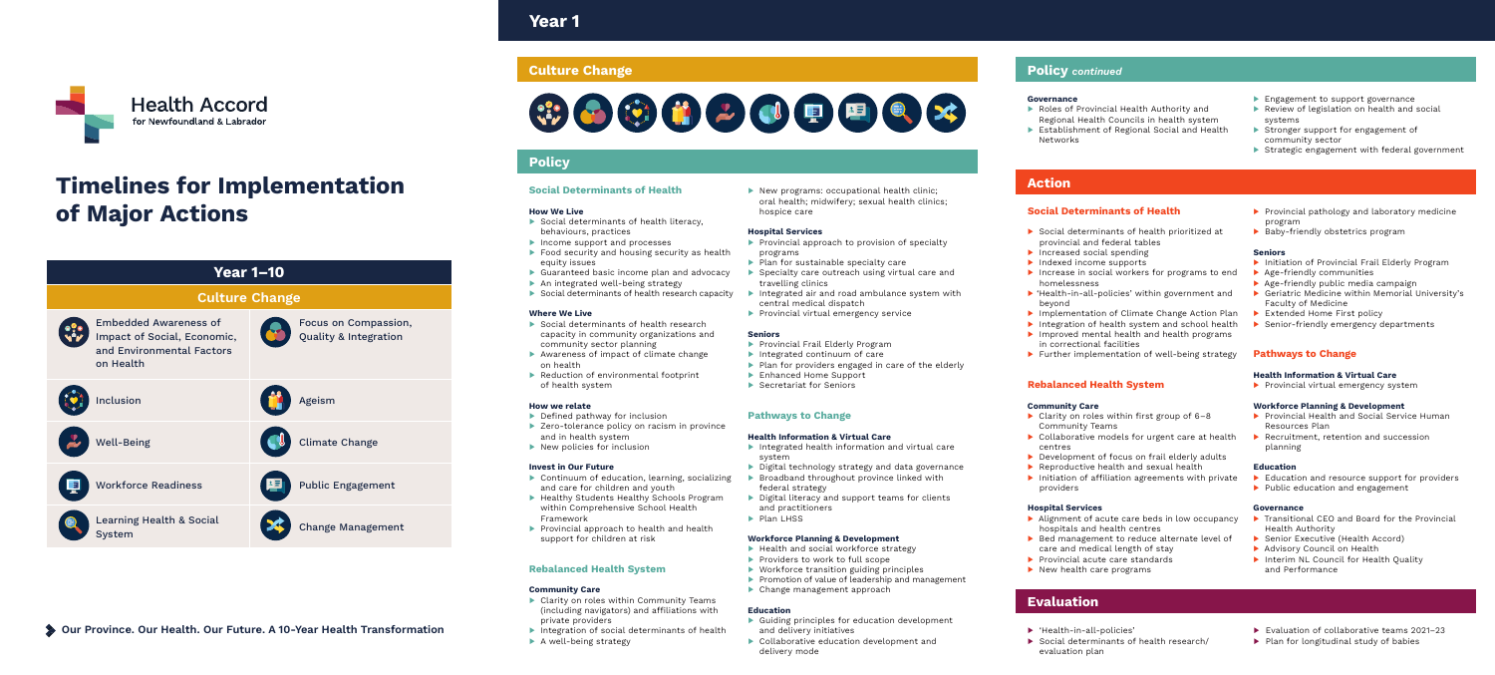Year 1



## Action

## Evaluation

## Policy

▶ Integration of social determinants of health ▶ A well-being strategy

| <b>Social Determinants of Health</b>                                                                                                                                                                                                                                                                                                                    |  |
|---------------------------------------------------------------------------------------------------------------------------------------------------------------------------------------------------------------------------------------------------------------------------------------------------------------------------------------------------------|--|
| <b>How We Live</b><br>Social determinants of health literacy,<br>$\blacktriangleright$ .<br>behaviours, practices<br>Income support and processes<br>Food security and housing security as health<br>equity issues<br>Guaranteed basic income plan and advocacy<br>An integrated well-being strategy<br>Social determinants of health research capacity |  |
| <b>Where We Live</b><br>Social determinants of health research<br>capacity in community organizations and<br>community sector planning<br>Awareness of impact of climate change<br>on health<br>Reduction of environmental footprint<br>of health system                                                                                                |  |
| <b>How we relate</b><br>Defined pathway for inclusion<br>> Zero-tolerance policy on racism in province<br>and in health system<br>$\blacktriangleright$ New policies for inclusion                                                                                                                                                                      |  |
| <b>Invest in Our Future</b><br>Continuum of education, learning, socializing<br>and care for children and youth<br>Healthy Students Healthy Schools Program<br>within Comprehensive School Health<br>Framework<br>Provincial approach to health and health<br>support for children at risk                                                              |  |
| <b>Rebalanced Health System</b>                                                                                                                                                                                                                                                                                                                         |  |
| <b>Community Care</b><br>Clarity on roles within Community Teams<br>(including navigators) and affiliations with                                                                                                                                                                                                                                        |  |

▶ New programs: occupational health clinic; oral health; midwifery; sexual health clinics; hospice care

- ▶ Provincial approach to provision of specialty programs
- ▶ Plan for sustainable specialty care
- ▶ Specialty care outreach using virtual care and travelling clinics
- ▶ Integrated air and road ambulance system with central medical dispatch
- ▶ Provincial virtual emergency service

## **Seniors**

- ▶ Provincial Frail Elderly Program
- ▶ Integrated continuum of care
- ▶ Plan for providers engaged in care of the elderly
- ▶ Enhanced Home Support
- ▶ Secretariat for Seniors

private providers

- ▶ Guiding principles for education development
- and delivery initiatives
- ▶ Collaborative education development and delivery mode

- ▶ Social determinants of health prioritized at provincial and federal tables
- ▶ Increased social spending
- ▶ Indexed income supports
- ▶ Increase in social workers for programs to end homelessness
- ▶ 'Health-in-all-policies' within government and beyond
- ▶ Implementation of Climate Change Action Plan
- ▶ Integration of health system and school health
- ▶ Improved mental health and health programs in correctional facilities
- ▶ Further implementation of well-being strategy

## Hospital Services

## Pathways to Change

## Health Information & Virtual Care

- ▶ Integrated health information and virtual care system
- ▶ Digital technology strategy and data governance ▶ Broadband throughout province linked with
- federal strategy
- ▶ Digital literacy and support teams for clients and practitioners
- ▶ Plan LHSS
- ▶ Provincial Health and Social Service Human Resources Plan
- ▶ Recruitment, retention and succession planning

## Workforce Planning & Development

- ▶ Health and social workforce strategy
- ▶ Providers to work to full scope
- ▶ Workforce transition guiding principles
- ▶ Promotion of value of leadership and management ▶ Change management approach
	-

## Education

### Governance

- ▶ Roles of Provincial Health Authority and Regional Health Councils in health system
- ▶ Establishment of Regional Social and Health Networks
- ▶ Engagement to support governance
- ▶ Review of legislation on health and social systems
- ▶ Stronger support for engagement of community sector
- ▶ Strategic engagement with federal government

## Social Determinants of Health

## Rebalanced Health System

## Community Care

- ▶ Clarity on roles within first group of 6–8 Community Teams
- ▶ Collaborative models for urgent care at health centres
- ▶ Development of focus on frail elderly adults
- ▶ Reproductive health and sexual health
- ▶ Initiation of affiliation agreements with private providers

## Hospital Services

- ▶ Alignment of acute care beds in low occupancy hospitals and health centres
- ▶ Bed management to reduce alternate level of care and medical length of stay
- ▶ Provincial acute care standards
- ▶ New health care programs

## Seniors

- ▶ Initiation of Provincial Frail Elderly Program
- ▶ Age-friendly communities
- ▶ Age-friendly public media campaign
- ▶ Geriatric Medicine within Memorial University's Faculty of Medicine
- ▶ Extended Home First policy
- ▶ Senior-friendly emergency departments

## Pathways to Change

## Health Information & Virtual Care

▶ Provincial virtual emergency system

## Workforce Planning & Development

## Education

- ▶ Education and resource support for providers
- ▶ Public education and engagement

### Governance

- ▶ Transitional CEO and Board for the Provincial Health Authority
- ▶ Senior Executive (Health Accord)
- ▶ Advisory Council on Health
- ▶ Interim NL Council for Health Quality and Performance
- ▶ Evaluation of collaborative teams 2021–23
- ▶ Plan for longitudinal study of babies
- ▶ 'Health-in-all-policies'
- ▶ Social determinants of health research/ evaluation plan
- ▶ Provincial pathology and laboratory medicine program
- ▶ Baby-friendly obstetrics program



# Timelines for Implementation of Major Actions



# **Culture Change Policy** *continued* **Culture Change**